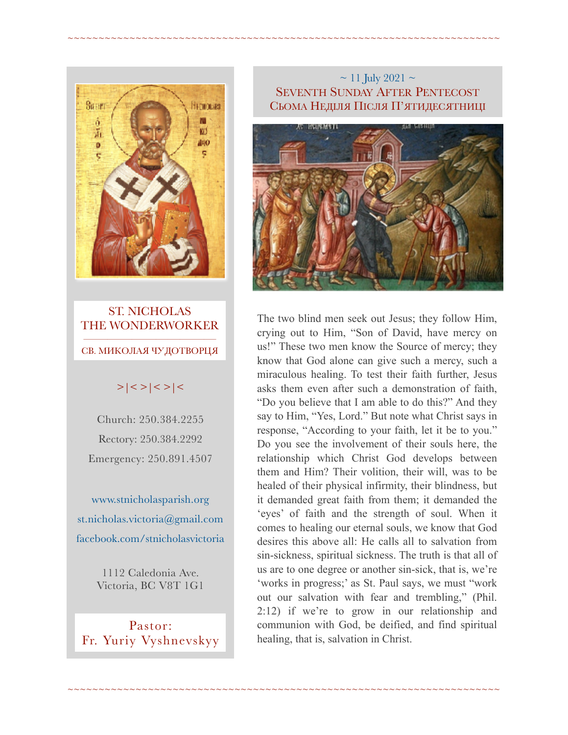

ST. NICHOLAS THE WONDERWORKER  $\frac{1}{\sqrt{2}}$  , and the set of the set of the set of the set of the set of the set of the set of the set of the set of the set of the set of the set of the set of the set of the set of the set of the set of the set of the СВ. МИКОЛАЯ ЧУДОТВОРЦЯ

# $>|$  < >  $|$  < >  $|$  <  $>$   $|$  <  $>$   $|$  <

Church: 250.384.2255 Rectory: 250.384.2292 Emergency: 250.891.4507

[www.stnicholasparish.org](http://www.stnicholasparish.org)  [st.nicholas.victoria@gmail.com](mailto:st.nicholas.victoria@gmail.com)  [facebook.com/stnicholasvictoria](http://facebook.com/stnicholasvictoria)

> 1112 Caledonia Ave. Victoria, BC V8T 1G1

Pastor: Fr. Yuriy Vyshnevskyy

### $\sim$  11 July 2021  $\sim$ SEVENTH SUNDAY AFTER PENTECOST СЬОМА НЕДІЛЯ ПІСЛЯ П'ЯТИДЕСЯТНИЦІ

~~~~~~~~~~~~~~~~~~~~~~~~~~~~~~~~~~~~~~~~~~~~~~~~~~~~~~~~~~~~~~~~~~~~~~

~~~~~~~~~~~~~~~~~~~~~~~~~~~~~~~~~~~~~~~~~~~~~~~~~~~~~~~~~~~~~~~~~~~~~~



The two blind men seek out Jesus; they follow Him, crying out to Him, "Son of David, have mercy on us!" These two men know the Source of mercy; they know that God alone can give such a mercy, such a miraculous healing. To test their faith further, Jesus asks them even after such a demonstration of faith, "Do you believe that I am able to do this?" And they say to Him, "Yes, Lord." But note what Christ says in response, "According to your faith, let it be to you." Do you see the involvement of their souls here, the relationship which Christ God develops between them and Him? Their volition, their will, was to be healed of their physical infirmity, their blindness, but it demanded great faith from them; it demanded the 'eyes' of faith and the strength of soul. When it comes to healing our eternal souls, we know that God desires this above all: He calls all to salvation from sin-sickness, spiritual sickness. The truth is that all of us are to one degree or another sin-sick, that is, we're 'works in progress;' as St. Paul says, we must "work out our salvation with fear and trembling," (Phil. 2:12) if we're to grow in our relationship and communion with God, be deified, and find spiritual healing, that is, salvation in Christ.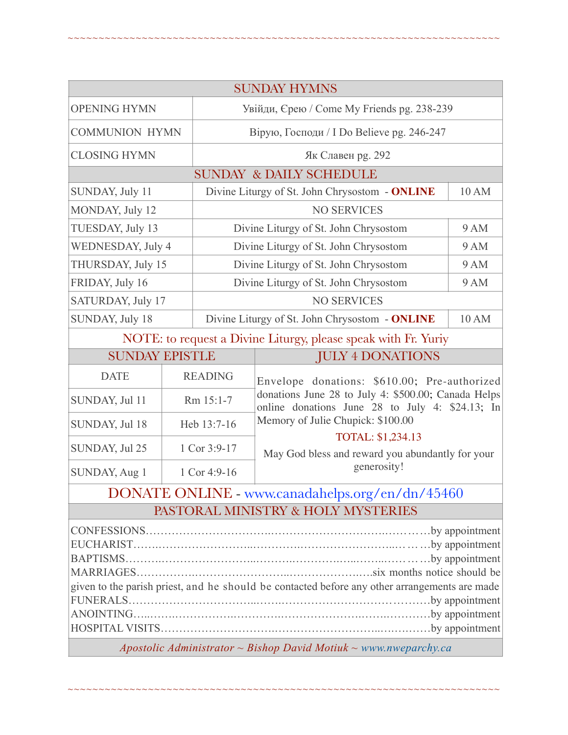|                                                 |                |                                                         | <b>SUNDAY HYMNS</b>                                                                                                                                                                                              |  |  |
|-------------------------------------------------|----------------|---------------------------------------------------------|------------------------------------------------------------------------------------------------------------------------------------------------------------------------------------------------------------------|--|--|
| <b>OPENING HYMN</b>                             |                | Увійди, Єрею / Come My Friends pg. 238-239              |                                                                                                                                                                                                                  |  |  |
| <b>COMMUNION HYMN</b>                           |                | Вірую, Господи / I Do Believe pg. 246-247               |                                                                                                                                                                                                                  |  |  |
| <b>CLOSING HYMN</b>                             |                | Як Славен рg. 292                                       |                                                                                                                                                                                                                  |  |  |
|                                                 |                |                                                         | <b>SUNDAY &amp; DAILY SCHEDULE</b>                                                                                                                                                                               |  |  |
| SUNDAY, July 11                                 |                | Divine Liturgy of St. John Chrysostom - ONLINE<br>10 AM |                                                                                                                                                                                                                  |  |  |
| MONDAY, July 12                                 |                | <b>NO SERVICES</b>                                      |                                                                                                                                                                                                                  |  |  |
| TUESDAY, July 13                                |                | Divine Liturgy of St. John Chrysostom<br>9 AM           |                                                                                                                                                                                                                  |  |  |
| <b>WEDNESDAY, July 4</b>                        |                | Divine Liturgy of St. John Chrysostom<br><b>9 AM</b>    |                                                                                                                                                                                                                  |  |  |
| THURSDAY, July 15                               |                | Divine Liturgy of St. John Chrysostom<br><b>9 AM</b>    |                                                                                                                                                                                                                  |  |  |
| FRIDAY, July 16                                 |                | Divine Liturgy of St. John Chrysostom<br>9 AM           |                                                                                                                                                                                                                  |  |  |
| SATURDAY, July 17                               |                | <b>NO SERVICES</b>                                      |                                                                                                                                                                                                                  |  |  |
| SUNDAY, July 18                                 |                | Divine Liturgy of St. John Chrysostom - ONLINE<br>10 AM |                                                                                                                                                                                                                  |  |  |
|                                                 |                |                                                         | NOTE: to request a Divine Liturgy, please speak with Fr. Yuriy                                                                                                                                                   |  |  |
| <b>SUNDAY EPISTLE</b>                           |                |                                                         | <b>JULY 4 DONATIONS</b>                                                                                                                                                                                          |  |  |
| <b>DATE</b>                                     | <b>READING</b> |                                                         | Envelope donations: \$610.00; Pre-authorized<br>donations June 28 to July 4: \$500.00; Canada Helps<br>online donations June 28 to July 4: \$24.13; In<br>Memory of Julie Chupick: \$100.00<br>TOTAL: \$1,234.13 |  |  |
| SUNDAY, Jul 11                                  | Rm 15:1-7      |                                                         |                                                                                                                                                                                                                  |  |  |
| SUNDAY, Jul 18                                  | Heb 13:7-16    |                                                         |                                                                                                                                                                                                                  |  |  |
| SUNDAY, Jul 25                                  | 1 Cor 3:9-17   |                                                         | May God bless and reward you abundantly for your                                                                                                                                                                 |  |  |
| SUNDAY, Aug 1                                   | 1 Cor 4:9-16   |                                                         | generosity!                                                                                                                                                                                                      |  |  |
| DONATE ONLINE - www.canadahelps.org/en/dn/45460 |                |                                                         |                                                                                                                                                                                                                  |  |  |
| PASTORAL MINISTRY & HOLY MYSTERIES              |                |                                                         |                                                                                                                                                                                                                  |  |  |

~~~~~~~~~~~~~~~~~~~~~~~~~~~~~~~~~~~~~~~~~~~~~~~~~~~~~~~~~~~~~~~~~~~~~~

| given to the parish priest, and he should be contacted before any other arrangements are made |  |
|-----------------------------------------------------------------------------------------------|--|
|                                                                                               |  |
|                                                                                               |  |
|                                                                                               |  |

*Apostolic Administrator ~ Bishop David Motiuk ~ [www.nweparchy.ca](http://www.nweparchy.ca)*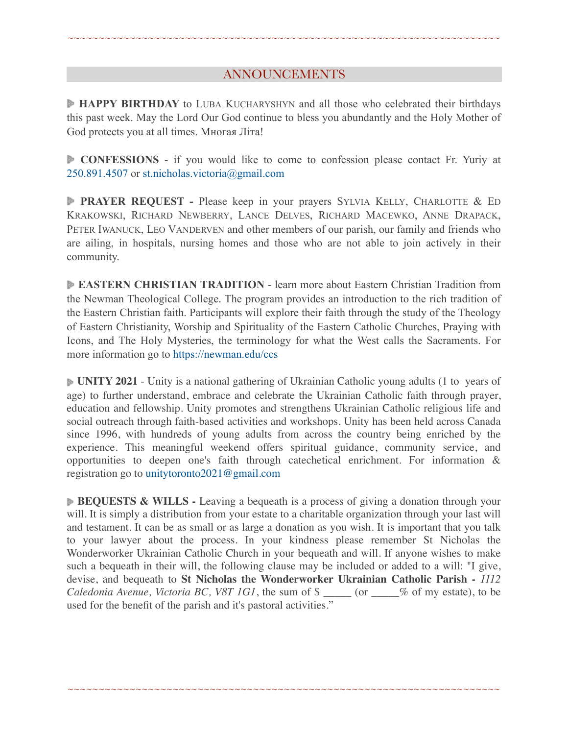# ANNOUNCEMENTS

~~~~~~~~~~~~~~~~~~~~~~~~~~~~~~~~~~~~~~~~~~~~~~~~~~~~~~~~~~~~~~~~~~~~~~

**HAPPY BIRTHDAY** to LUBA KUCHARYSHYN and all those who celebrated their birthdays this past week. May the Lord Our God continue to bless you abundantly and the Holy Mother of God protects you at all times. Многая Літа!

**CONFESSIONS** - if you would like to come to confession please contact Fr. Yuriy at 250.891.4507 or [st.nicholas.victoria@gmail.com](mailto:st.nicholas.victoria@gmail.com)

**PRAYER REQUEST -** Please keep in your prayers SYLVIA KELLY, CHARLOTTE & ED KRAKOWSKI, RICHARD NEWBERRY, LANCE DELVES, RICHARD MACEWKO, ANNE DRAPACK, PETER IWANUCK, LEO VANDERVEN and other members of our parish, our family and friends who are ailing, in hospitals, nursing homes and those who are not able to join actively in their community.

**EASTERN CHRISTIAN TRADITION** - learn more about Eastern Christian Tradition from the Newman Theological College. The program provides an introduction to the rich tradition of the Eastern Christian faith. Participants will explore their faith through the study of the Theology of Eastern Christianity, Worship and Spirituality of the Eastern Catholic Churches, Praying with Icons, and The Holy Mysteries, the terminology for what the West calls the Sacraments. For more information go to <https://newman.edu/ccs>

**UNITY 2021** - Unity is a national gathering of Ukrainian Catholic young adults (1 to years of age) to further understand, embrace and celebrate the Ukrainian Catholic faith through prayer, education and fellowship. Unity promotes and strengthens Ukrainian Catholic religious life and social outreach through faith-based activities and workshops. Unity has been held across Canada since 1996, with hundreds of young adults from across the country being enriched by the experience. This meaningful weekend offers spiritual guidance, community service, and opportunities to deepen one's faith through catechetical enrichment. For information & registration go to [unitytoronto2021@gmail.com](mailto:unitytoronto2021@%F4%8F%B0%A5gmail.com)

**BEQUESTS & WILLS** - Leaving a bequeath is a process of giving a donation through your will. It is simply a distribution from your estate to a charitable organization through your last will and testament. It can be as small or as large a donation as you wish. It is important that you talk to your lawyer about the process. In your kindness please remember St Nicholas the Wonderworker Ukrainian Catholic Church in your bequeath and will. If anyone wishes to make such a bequeath in their will, the following clause may be included or added to a will: "I give, devise, and bequeath to **St Nicholas the Wonderworker Ukrainian Catholic Parish -** *1112 Caledonia Avenue, Victoria BC, V8T 1G1*, the sum of \$ \_\_\_\_\_ (or \_\_\_\_% of my estate), to be used for the benefit of the parish and it's pastoral activities."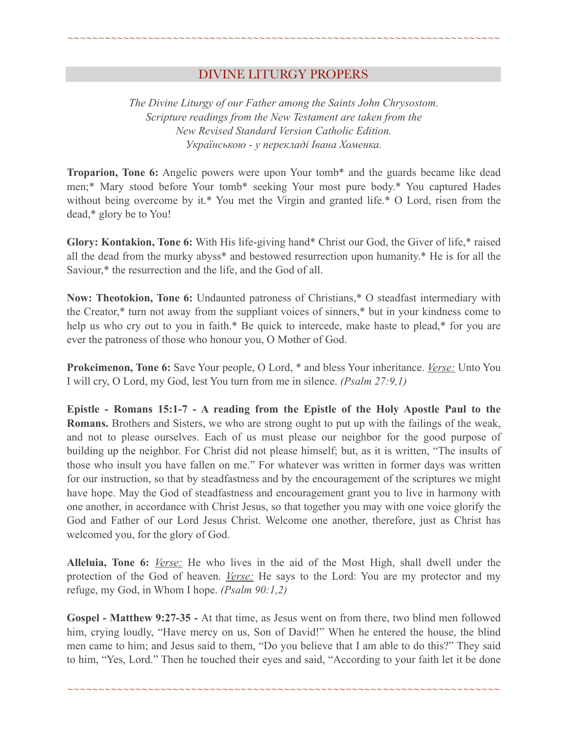# DIVINE LITURGY PROPERS

~~~~~~~~~~~~~~~~~~~~~~~~~~~~~~~~~~~~~~~~~~~~~~~~~~~~~~~~~~~~~~~~~~~~~~

*The Divine Liturgy of our Father among the Saints John Chrysostom. Scripture readings from the New Testament are taken from the New Revised Standard Version Catholic Edition. Українською - у перекладі Івана Хоменка.* 

**Troparion, Tone 6:** Angelic powers were upon Your tomb\* and the guards became like dead men;\* Mary stood before Your tomb\* seeking Your most pure body.\* You captured Hades without being overcome by it.\* You met the Virgin and granted life.\* O Lord, risen from the dead,\* glory be to You!

**Glory: Kontakion, Tone 6:** With His life-giving hand\* Christ our God, the Giver of life,\* raised all the dead from the murky abyss\* and bestowed resurrection upon humanity.\* He is for all the Saviour,\* the resurrection and the life, and the God of all.

**Now: Theotokion, Tone 6:** Undaunted patroness of Christians,\* O steadfast intermediary with the Creator,\* turn not away from the suppliant voices of sinners,\* but in your kindness come to help us who cry out to you in faith.\* Be quick to intercede, make haste to plead,\* for you are ever the patroness of those who honour you, O Mother of God.

**Prokeimenon, Tone 6:** Save Your people, O Lord, \* and bless Your inheritance. *Verse:* Unto You I will cry, O Lord, my God, lest You turn from me in silence. *(Psalm 27:9,1)*

**Epistle - Romans 15:1-7 - A reading from the Epistle of the Holy Apostle Paul to the Romans.** Brothers and Sisters, we who are strong ought to put up with the failings of the weak, and not to please ourselves. Each of us must please our neighbor for the good purpose of building up the neighbor. For Christ did not please himself; but, as it is written, "The insults of those who insult you have fallen on me." For whatever was written in former days was written for our instruction, so that by steadfastness and by the encouragement of the scriptures we might have hope. May the God of steadfastness and encouragement grant you to live in harmony with one another, in accordance with Christ Jesus, so that together you may with one voice glorify the God and Father of our Lord Jesus Christ. Welcome one another, therefore, just as Christ has welcomed you, for the glory of God.

**Alleluia, Tone 6:** *Verse:* He who lives in the aid of the Most High, shall dwell under the protection of the God of heaven. *Verse:* He says to the Lord: You are my protector and my refuge, my God, in Whom I hope. *(Psalm 90:1,2)*

**Gospel - Matthew 9:27-35 -** At that time, as Jesus went on from there, two blind men followed him, crying loudly, "Have mercy on us, Son of David!" When he entered the house, the blind men came to him; and Jesus said to them, "Do you believe that I am able to do this?" They said to him, "Yes, Lord." Then he touched their eyes and said, "According to your faith let it be done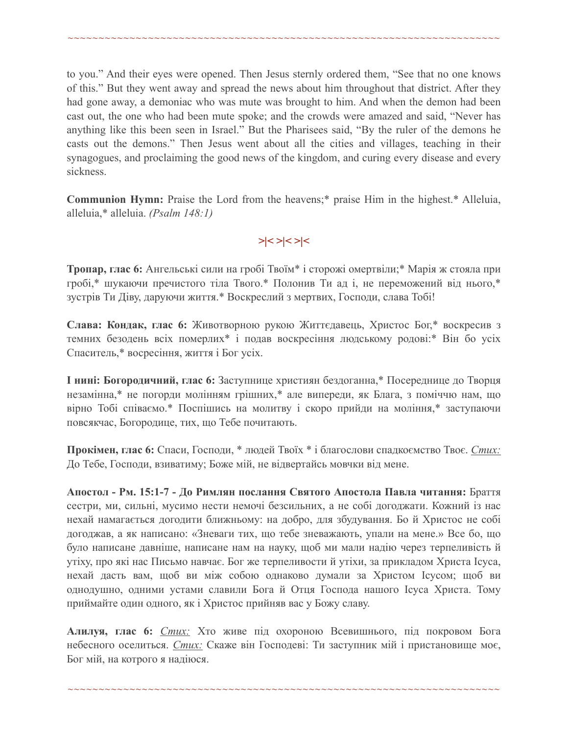to you." And their eyes were opened. Then Jesus sternly ordered them, "See that no one knows of this." But they went away and spread the news about him throughout that district. After they had gone away, a demoniac who was mute was brought to him. And when the demon had been cast out, the one who had been mute spoke; and the crowds were amazed and said, "Never has anything like this been seen in Israel." But the Pharisees said, "By the ruler of the demons he casts out the demons." Then Jesus went about all the cities and villages, teaching in their synagogues, and proclaiming the good news of the kingdom, and curing every disease and every sickness.

~~~~~~~~~~~~~~~~~~~~~~~~~~~~~~~~~~~~~~~~~~~~~~~~~~~~~~~~~~~~~~~~~~~~~~

**Communion Hymn:** Praise the Lord from the heavens;\* praise Him in the highest.\* Alleluia, alleluia,\* alleluia. *(Psalm 148:1)*

*>|< >|< >|<* 

**Тропар, глас 6:** Ангельські сили на гробі Твоїм\* і сторожі омертвіли;\* Марія ж стояла при гробі,\* шукаючи пречистого тіла Твого.\* Полонив Ти ад і, не переможений від нього,\* зустрів Ти Діву, даруючи життя.\* Воскреслий з мертвих, Господи, слава Тобі!

**Слава: Кондак, глас 6:** Животворною рукою Життєдавець, Христос Бог,\* воскресив з темних безодень всіх померлих\* і подав воскресіння людському родові:\* Він бо усіх Спаситель,\* восресіння, життя і Бог усіх.

**І нині: Богородичний, глас 6:** Заступнице християн бездоганна,\* Посереднице до Творця незамінна,\* не погорди молінням грішних,\* але випереди, як Блага, з поміччю нам, що вірно Тобі співаємо.\* Поспішись на молитву і скоро прийди на моління,\* заступаючи повсякчас, Богородице, тих, що Тебе почитають.

**Прокімен, глас 6:** Спаси, Господи, \* людей Твоїх \* і благослови спадкоємство Твоє. *Стих:* До Тебе, Господи, взиватиму; Боже мій, не відвертайсь мовчки від мене.

**Апостол - Рм. 15:1-7 - До Римлян послання Святого Апостола Павла читання:** Браття сестри, ми, сильні, мусимо нести немочі безсильних, а не собі догоджати. Кожний із нас нехай намагається догодити ближньому: на добро, для збудування. Бо й Христос не собі догоджав, а як написано: «Зневаги тих, що тебе зневажають, упали на мене.» Все бо, що було написане давніше, написане нам на науку, щоб ми мали надію через терпеливість й утіху, про які нас Письмо навчає. Бог же терпеливости й утіхи, за прикладом Христа Ісуса, нехай дасть вам, щоб ви між собою однаково думали за Христом Ісусом; щоб ви однодушно, одними устами славили Бога й Отця Господа нашого Ісуса Христа. Тому приймайте один одного, як і Христос прийняв вас у Божу славу.

**Алилуя, глас 6:** *Стих:* Хто живе під охороною Всевишнього, під покровом Бога небесного оселиться. *Стих:* Скаже він Господеві: Ти заступник мій і пристановище моє, Бог мій, на котрого я надіюся.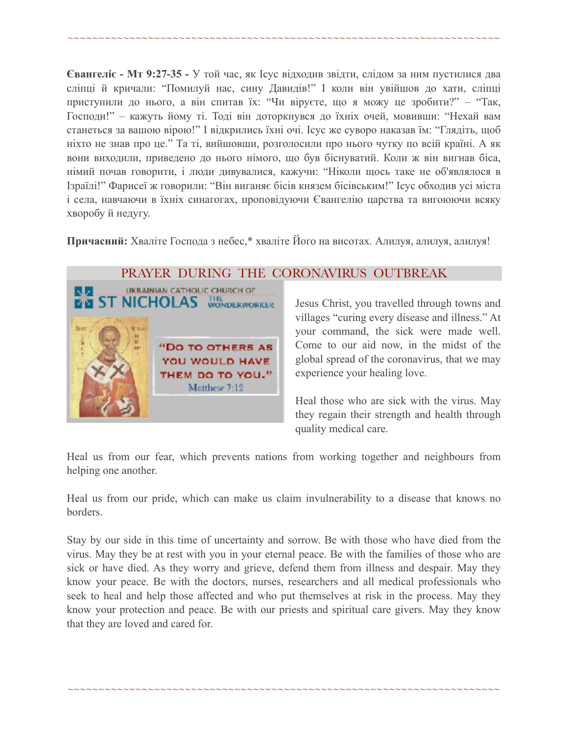~~~~~~~~~~~~~~~~~~~~~~~~~~~~~~~~~~~~~~~~~~~~~~~~~~~~~~~~~~~~~~~~~~~~~~

**Євангеліє - Мт 9:27-35 -** У той час, як Ісус відходив звідти, слідом за ним пустилися два сліпці й кричали: "Помилуй нас, сину Давидів!" І коли він увійшов до хати, сліпці приступили до нього, а він спитав їх: "Чи віруєте, що я можу це зробити?" – "Так, Господи!" – кажуть йому ті. Тоді він доторкнувся до їхніх очей, мовивши: "Нехай вам станеться за вашою вірою!" І відкрились їхні очі. Ісус же суворо наказав їм: "Глядіть, щоб ніхто не знав про це." Та ті, вийшовши, розголосили про нього чутку по всій країні. А як вони виходили, приведено до нього німого, що був біснуватий. Коли ж він вигнав біса, німий почав говорити, і люди дивувалися, кажучи: "Ніколи щось таке не об'являлося в Ізраїлі!" Фарисеї ж говорили: "Він виганяє бісів князем бісівським!" Ісус обходив усі міста і села, навчаючи в їхніх синагогах, проповідуючи Євангелію царства та вигоюючи всяку хворобу й недугу.

**Причасний:** Хваліте Господа з небес,\* хваліте Його на висотах. Алилуя, алилуя, алилуя!



#### PRAYER DURING THE CORONAVIRUS OUTBREAK

Jesus Christ, you travelled through towns and villages "curing every disease and illness." At your command, the sick were made well. Come to our aid now, in the midst of the global spread of the coronavirus, that we may experience your healing love.

Heal those who are sick with the virus. May they regain their strength and health through quality medical care.

Heal us from our fear, which prevents nations from working together and neighbours from helping one another.

Heal us from our pride, which can make us claim invulnerability to a disease that knows no borders.

Stay by our side in this time of uncertainty and sorrow. Be with those who have died from the virus. May they be at rest with you in your eternal peace. Be with the families of those who are sick or have died. As they worry and grieve, defend them from illness and despair. May they know your peace. Be with the doctors, nurses, researchers and all medical professionals who seek to heal and help those affected and who put themselves at risk in the process. May they know your protection and peace. Be with our priests and spiritual care givers. May they know that they are loved and cared for.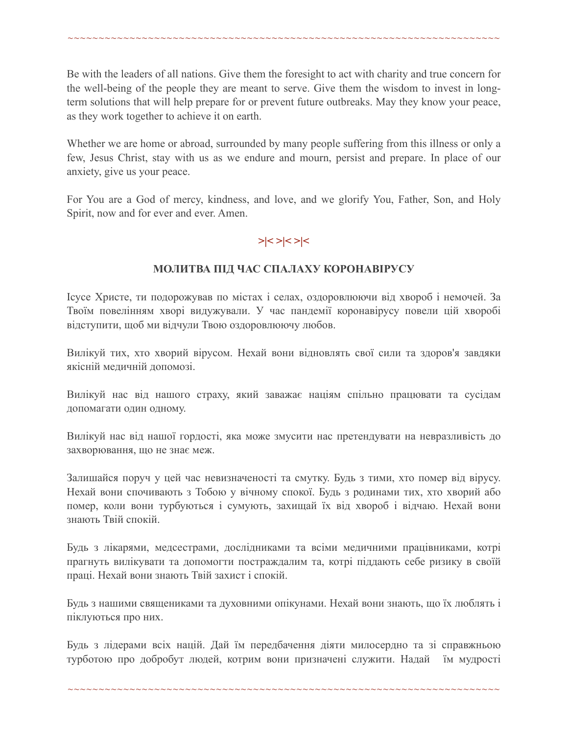Be with the leaders of all nations. Give them the foresight to act with charity and true concern for the well-being of the people they are meant to serve. Give them the wisdom to invest in longterm solutions that will help prepare for or prevent future outbreaks. May they know your peace, as they work together to achieve it on earth.

~~~~~~~~~~~~~~~~~~~~~~~~~~~~~~~~~~~~~~~~~~~~~~~~~~~~~~~~~~~~~~~~~~~~~~

Whether we are home or abroad, surrounded by many people suffering from this illness or only a few, Jesus Christ, stay with us as we endure and mourn, persist and prepare. In place of our anxiety, give us your peace.

For You are a God of mercy, kindness, and love, and we glorify You, Father, Son, and Holy Spirit, now and for ever and ever. Amen.

# **>|< >|< >|<**

#### **МОЛИТВА ПІД ЧАС СПАЛАХУ КОРОНАВІРУСУ**

Ісусе Христе, ти подорожував по містах і селах, оздоровлюючи від хвороб і немочей. За Твоїм повелінням хворі видужували. У час пандемії коронавірусу повели цій хворобі відступити, щоб ми відчули Твою оздоровлюючу любов.

Вилікуй тих, хто хворий вірусом. Нехай вони відновлять свої сили та здоров'я завдяки якісній медичній допомозі.

Вилікуй нас від нашого страху, який заважає націям спільно працювати та сусідам допомагати один одному.

Вилікуй нас від нашої гордості, яка може змусити нас претендувати на невразливість до захворювання, що не знає меж.

Залишайся поруч у цей час невизначеності та смутку. Будь з тими, хто помер від вірусу. Нехай вони спочивають з Тобою у вічному спокої. Будь з родинами тих, хто хворий або помер, коли вони турбуються і сумують, захищай їх від хвороб і відчаю. Нехай вони знають Твій спокій.

Будь з лікарями, медсестрами, дослідниками та всіми медичними працівниками, котрі прагнуть вилікувати та допомогти постраждалим та, котрі піддають себе ризику в своїй праці. Нехай вони знають Твій захист і спокій.

Будь з нашими священиками та духовними опікунами. Нехай вони знають, що їх люблять і піклуються про них.

Будь з лідерами всіх націй. Дай їм передбачення діяти милосердно та зі справжньою турботою про добробут людей, котрим вони призначені служити. Надай їм мудрості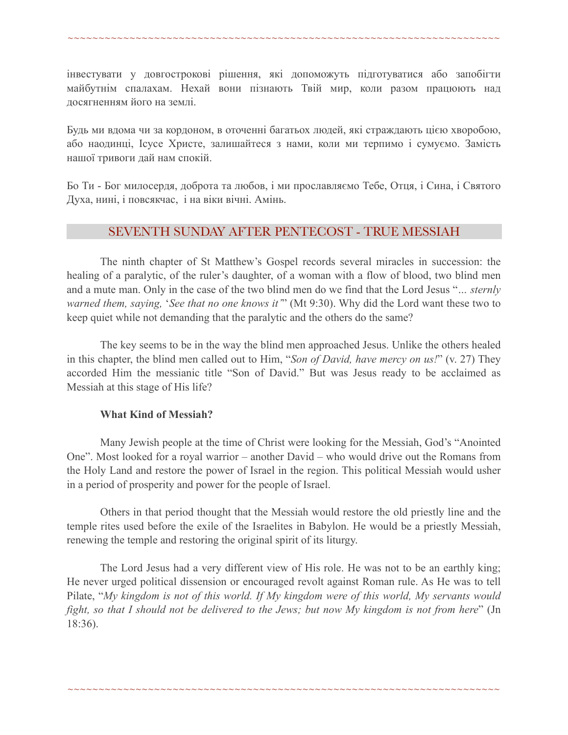інвестувати у довгострокові рішення, які допоможуть підготуватися або запобігти майбутнім спалахам. Нехай вони пізнають Твій мир, коли разом працюють над досягненням його на землі.

~~~~~~~~~~~~~~~~~~~~~~~~~~~~~~~~~~~~~~~~~~~~~~~~~~~~~~~~~~~~~~~~~~~~~~

Будь ми вдома чи за кордоном, в оточенні багатьох людей, які страждають цією хворобою, або наодинці, Ісусе Христе, залишайтеся з нами, коли ми терпимо і сумуємо. Замість нашої тривоги дай нам спокій.

Бо Ти - Бог милосердя, доброта та любов, і ми прославляємо Тебе, Отця, і Сина, і Святого Духа, нині, і повсякчас, і на віки вічні. Амінь.

# SEVENTH SUNDAY AFTER PENTECOST - TRUE MESSIAH

 The ninth chapter of St Matthew's Gospel records several miracles in succession: the healing of a paralytic, of the ruler's daughter, of a woman with a flow of blood, two blind men and a mute man. Only in the case of the two blind men do we find that the Lord Jesus "*… sternly warned them, saying,* '*See that no one knows it'*" (Mt 9:30). Why did the Lord want these two to keep quiet while not demanding that the paralytic and the others do the same?

 The key seems to be in the way the blind men approached Jesus. Unlike the others healed in this chapter, the blind men called out to Him, "*Son of David, have mercy on us!*" (v. 27) They accorded Him the messianic title "Son of David." But was Jesus ready to be acclaimed as Messiah at this stage of His life?

#### **What Kind of Messiah?**

 Many Jewish people at the time of Christ were looking for the Messiah, God's "Anointed One". Most looked for a royal warrior – another David – who would drive out the Romans from the Holy Land and restore the power of Israel in the region. This political Messiah would usher in a period of prosperity and power for the people of Israel.

 Others in that period thought that the Messiah would restore the old priestly line and the temple rites used before the exile of the Israelites in Babylon. He would be a priestly Messiah, renewing the temple and restoring the original spirit of its liturgy.

 The Lord Jesus had a very different view of His role. He was not to be an earthly king; He never urged political dissension or encouraged revolt against Roman rule. As He was to tell Pilate, "*My kingdom is not of this world. If My kingdom were of this world, My servants would fight, so that I should not be delivered to the Jews; but now My kingdom is not from here*" (Jn 18:36).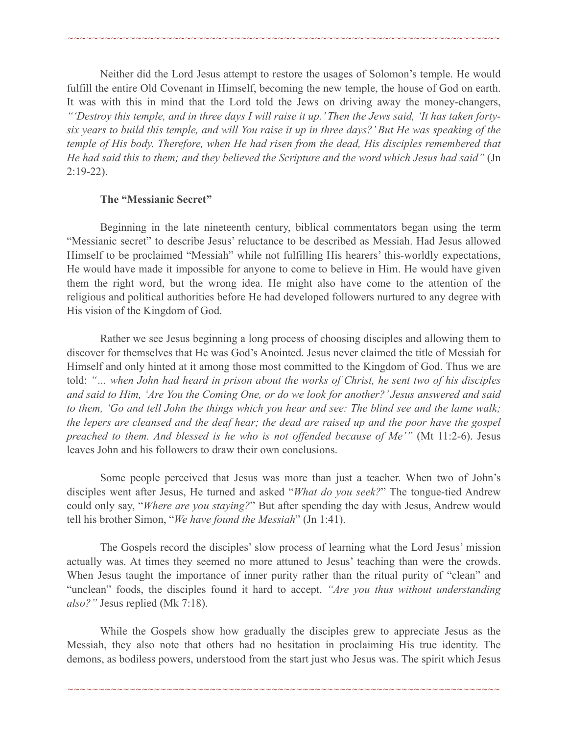Neither did the Lord Jesus attempt to restore the usages of Solomon's temple. He would fulfill the entire Old Covenant in Himself, becoming the new temple, the house of God on earth. It was with this in mind that the Lord told the Jews on driving away the money-changers, *"'Destroy this temple, and in three days I will raise it up.' Then the Jews said, 'It has taken fortysix years to build this temple, and will You raise it up in three days?' But He was speaking of the temple of His body. Therefore, when He had risen from the dead, His disciples remembered that He had said this to them; and they believed the Scripture and the word which Jesus had said"* (Jn 2:19-22).

~~~~~~~~~~~~~~~~~~~~~~~~~~~~~~~~~~~~~~~~~~~~~~~~~~~~~~~~~~~~~~~~~~~~~~

#### **The "Messianic Secret"**

 Beginning in the late nineteenth century, biblical commentators began using the term "Messianic secret" to describe Jesus' reluctance to be described as Messiah. Had Jesus allowed Himself to be proclaimed "Messiah" while not fulfilling His hearers' this-worldly expectations, He would have made it impossible for anyone to come to believe in Him. He would have given them the right word, but the wrong idea. He might also have come to the attention of the religious and political authorities before He had developed followers nurtured to any degree with His vision of the Kingdom of God.

 Rather we see Jesus beginning a long process of choosing disciples and allowing them to discover for themselves that He was God's Anointed. Jesus never claimed the title of Messiah for Himself and only hinted at it among those most committed to the Kingdom of God. Thus we are told: *"… when John had heard in prison about the works of Christ, he sent two of his disciples and said to Him, 'Are You the Coming One, or do we look for another?' Jesus answered and said to them, 'Go and tell John the things which you hear and see: The blind see and the lame walk; the lepers are cleansed and the deaf hear; the dead are raised up and the poor have the gospel preached to them. And blessed is he who is not offended because of Me'"* (Mt 11:2-6). Jesus leaves John and his followers to draw their own conclusions.

 Some people perceived that Jesus was more than just a teacher. When two of John's disciples went after Jesus, He turned and asked "*What do you seek?*" The tongue-tied Andrew could only say, "*Where are you staying?*" But after spending the day with Jesus, Andrew would tell his brother Simon, "*We have found the Messiah*" (Jn 1:41).

 The Gospels record the disciples' slow process of learning what the Lord Jesus' mission actually was. At times they seemed no more attuned to Jesus' teaching than were the crowds. When Jesus taught the importance of inner purity rather than the ritual purity of "clean" and "unclean" foods, the disciples found it hard to accept. *"Are you thus without understanding also?"* Jesus replied (Mk 7:18).

 While the Gospels show how gradually the disciples grew to appreciate Jesus as the Messiah, they also note that others had no hesitation in proclaiming His true identity. The demons, as bodiless powers, understood from the start just who Jesus was. The spirit which Jesus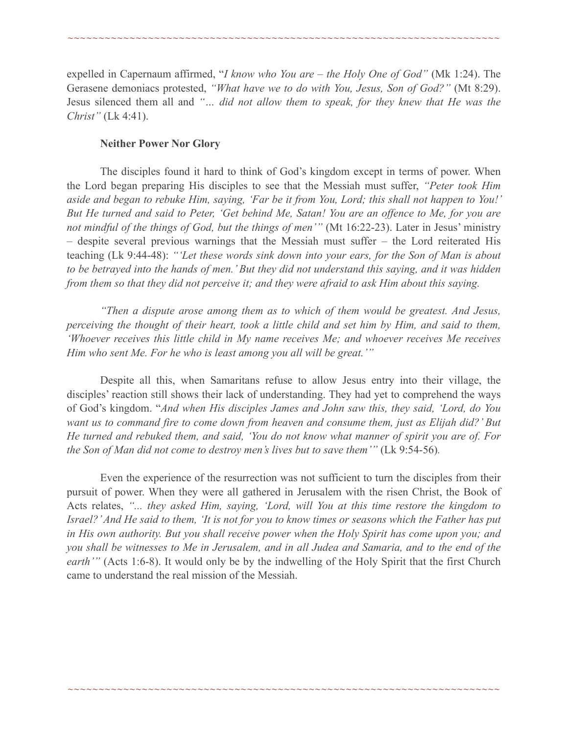expelled in Capernaum affirmed, "*I know who You are – the Holy One of God"* (Mk 1:24). The Gerasene demoniacs protested, *"What have we to do with You, Jesus, Son of God?"* (Mt 8:29). Jesus silenced them all and *"… did not allow them to speak, for they knew that He was the Christ"* (Lk 4:41).

~~~~~~~~~~~~~~~~~~~~~~~~~~~~~~~~~~~~~~~~~~~~~~~~~~~~~~~~~~~~~~~~~~~~~~

#### **Neither Power Nor Glory**

 The disciples found it hard to think of God's kingdom except in terms of power. When the Lord began preparing His disciples to see that the Messiah must suffer, *"Peter took Him aside and began to rebuke Him, saying, 'Far be it from You, Lord; this shall not happen to You!' But He turned and said to Peter, 'Get behind Me, Satan! You are an offence to Me, for you are not mindful of the things of God, but the things of men'"* (Mt 16:22-23). Later in Jesus' ministry – despite several previous warnings that the Messiah must suffer – the Lord reiterated His teaching (Lk 9:44-48): *"'Let these words sink down into your ears, for the Son of Man is about to be betrayed into the hands of men.' But they did not understand this saying, and it was hidden from them so that they did not perceive it; and they were afraid to ask Him about this saying.* 

 *"Then a dispute arose among them as to which of them would be greatest. And Jesus, perceiving the thought of their heart, took a little child and set him by Him, and said to them, 'Whoever receives this little child in My name receives Me; and whoever receives Me receives Him who sent Me. For he who is least among you all will be great.'"*

Despite all this, when Samaritans refuse to allow Jesus entry into their village, the disciples' reaction still shows their lack of understanding. They had yet to comprehend the ways of God's kingdom. "*And when His disciples James and John saw this, they said, 'Lord, do You want us to command fire to come down from heaven and consume them, just as Elijah did?' But He turned and rebuked them, and said, 'You do not know what manner of spirit you are of. For the Son of Man did not come to destroy men's lives but to save them'"* (Lk 9:54-56).

 Even the experience of the resurrection was not sufficient to turn the disciples from their pursuit of power. When they were all gathered in Jerusalem with the risen Christ, the Book of Acts relates, *"... they asked Him, saying, 'Lord, will You at this time restore the kingdom to Israel?' And He said to them, 'It is not for you to know times or seasons which the Father has put in His own authority. But you shall receive power when the Holy Spirit has come upon you; and you shall be witnesses to Me in Jerusalem, and in all Judea and Samaria, and to the end of the earth*" (Acts 1:6-8). It would only be by the indwelling of the Holy Spirit that the first Church came to understand the real mission of the Messiah.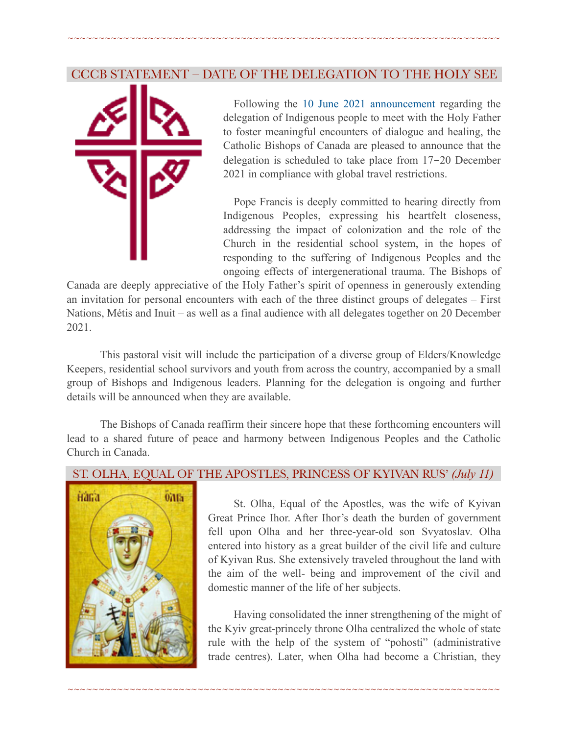# CCCB STATEMENT – DATE OF THE DELEGATION TO THE HOLY SEE

~~~~~~~~~~~~~~~~~~~~~~~~~~~~~~~~~~~~~~~~~~~~~~~~~~~~~~~~~~~~~~~~~~~~~~



 Following the [10 June 2021 announcement](https://www.cccb.ca/announcement/cccb-statement-delegation-to-the-holy-see/) regarding the delegation of Indigenous people to meet with the Holy Father to foster meaningful encounters of dialogue and healing, the Catholic Bishops of Canada are pleased to announce that the delegation is scheduled to take place from 17-20 December 2021 in compliance with global travel restrictions.

 Pope Francis is deeply committed to hearing directly from Indigenous Peoples, expressing his heartfelt closeness, addressing the impact of colonization and the role of the Church in the residential school system, in the hopes of responding to the suffering of Indigenous Peoples and the ongoing effects of intergenerational trauma. The Bishops of

Canada are deeply appreciative of the Holy Father's spirit of openness in generously extending an invitation for personal encounters with each of the three distinct groups of delegates – First Nations, Métis and Inuit – as well as a final audience with all delegates together on 20 December 2021.

 This pastoral visit will include the participation of a diverse group of Elders/Knowledge Keepers, residential school survivors and youth from across the country, accompanied by a small group of Bishops and Indigenous leaders. Planning for the delegation is ongoing and further details will be announced when they are available.

 The Bishops of Canada reaffirm their sincere hope that these forthcoming encounters will lead to a shared future of peace and harmony between Indigenous Peoples and the Catholic Church in Canada.

#### ST. OLHA, EQUAL OF THE APOSTLES, PRINCESS OF KYIVAN RUS' *(July 11)*

~~~~~~~~~~~~~~~~~~~~~~~~~~~~~~~~~~~~~~~~~~~~~~~~~~~~~~~~~~~~~~~~~~~~~~



 St. Olha, Equal of the Apostles, was the wife of Kyivan Great Prince Ihor. After Ihor's death the burden of government fell upon Olha and her three-year-old son Svyatoslav. Olha entered into history as a great builder of the civil life and culture of Kyivan Rus. She extensively traveled throughout the land with the aim of the well- being and improvement of the civil and domestic manner of the life of her subjects.

Having consolidated the inner strengthening of the might of the Kyiv great-princely throne Olha centralized the whole of state rule with the help of the system of "pohosti" (administrative trade centres). Later, when Olha had become a Christian, they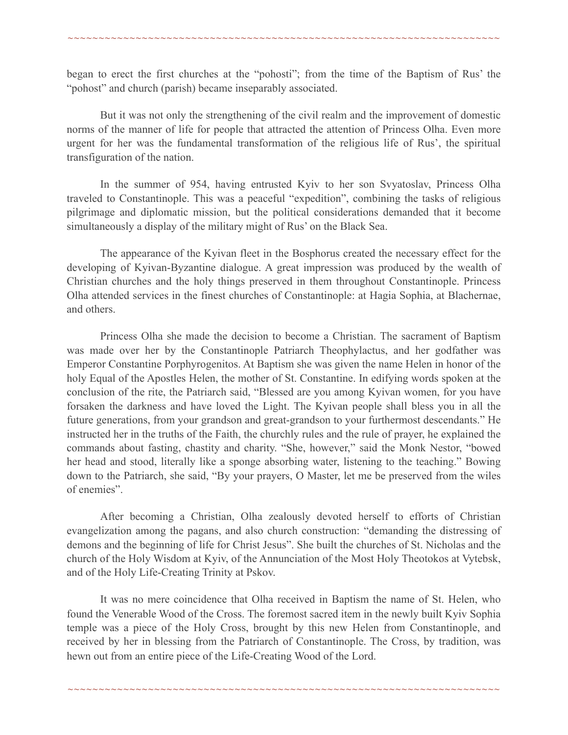began to erect the first churches at the "pohosti"; from the time of the Baptism of Rus' the "pohost" and church (parish) became inseparably associated.

~~~~~~~~~~~~~~~~~~~~~~~~~~~~~~~~~~~~~~~~~~~~~~~~~~~~~~~~~~~~~~~~~~~~~~

But it was not only the strengthening of the civil realm and the improvement of domestic norms of the manner of life for people that attracted the attention of Princess Olha. Even more urgent for her was the fundamental transformation of the religious life of Rus', the spiritual transfiguration of the nation.

In the summer of 954, having entrusted Kyiv to her son Svyatoslav, Princess Olha traveled to Constantinople. This was a peaceful "expedition", combining the tasks of religious pilgrimage and diplomatic mission, but the political considerations demanded that it become simultaneously a display of the military might of Rus' on the Black Sea.

The appearance of the Kyivan fleet in the Bosphorus created the necessary effect for the developing of Kyivan-Byzantine dialogue. A great impression was produced by the wealth of Christian churches and the holy things preserved in them throughout Constantinople. Princess Olha attended services in the finest churches of Constantinople: at Hagia Sophia, at Blachernae, and others.

Princess Olha she made the decision to become a Christian. The sacrament of Baptism was made over her by the Constantinople Patriarch Theophylactus, and her godfather was Emperor Constantine Porphyrogenitos. At Baptism she was given the name Helen in honor of the holy Equal of the Apostles Helen, the mother of St. Constantine. In edifying words spoken at the conclusion of the rite, the Patriarch said, "Blessed are you among Kyivan women, for you have forsaken the darkness and have loved the Light. The Kyivan people shall bless you in all the future generations, from your grandson and great-grandson to your furthermost descendants." He instructed her in the truths of the Faith, the churchly rules and the rule of prayer, he explained the commands about fasting, chastity and charity. "She, however," said the Monk Nestor, "bowed her head and stood, literally like a sponge absorbing water, listening to the teaching." Bowing down to the Patriarch, she said, "By your prayers, O Master, let me be preserved from the wiles of enemies".

After becoming a Christian, Olha zealously devoted herself to efforts of Christian evangelization among the pagans, and also church construction: "demanding the distressing of demons and the beginning of life for Christ Jesus". She built the churches of St. Nicholas and the church of the Holy Wisdom at Kyiv, of the Annunciation of the Most Holy Theotokos at Vytebsk, and of the Holy Life-Creating Trinity at Pskov.

It was no mere coincidence that Olha received in Baptism the name of St. Helen, who found the Venerable Wood of the Cross. The foremost sacred item in the newly built Kyiv Sophia temple was a piece of the Holy Cross, brought by this new Helen from Constantinople, and received by her in blessing from the Patriarch of Constantinople. The Cross, by tradition, was hewn out from an entire piece of the Life-Creating Wood of the Lord.